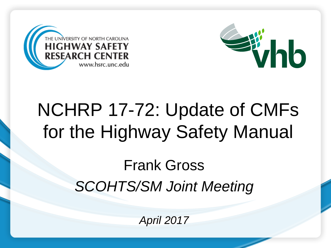



### NCHRP 17-72: Update of CMFs for the Highway Safety Manual

Frank Gross *SCOHTS/SM Joint Meeting*

*April 2017*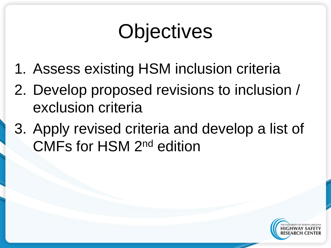# **Objectives**

- 1. Assess existing HSM inclusion criteria
- 2. Develop proposed revisions to inclusion / exclusion criteria
- 3. Apply revised criteria and develop a list of CMFs for HSM 2nd edition

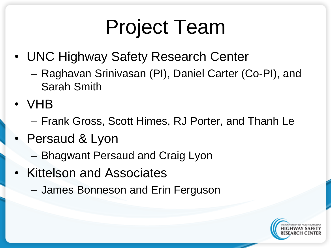# Project Team

- UNC Highway Safety Research Center
	- Raghavan Srinivasan (PI), Daniel Carter (Co-PI), and Sarah Smith
- VHB
	- Frank Gross, Scott Himes, RJ Porter, and Thanh Le
- Persaud & Lyon
	- Bhagwant Persaud and Craig Lyon
- Kittelson and Associates
	- James Bonneson and Erin Ferguson

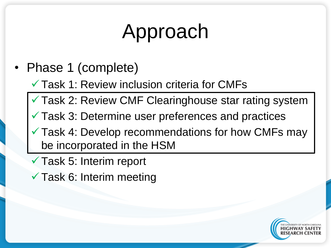# Approach

• Phase 1 (complete)

 $\checkmark$  Task 1: Review inclusion criteria for CMFs

Task 2: Review CMF Clearinghouse star rating system

 $\checkmark$  Task 3: Determine user preferences and practices

Task 4: Develop recommendations for how CMFs may be incorporated in the HSM

- Task 5: Interim report
- $\checkmark$  Task 6: Interim meeting

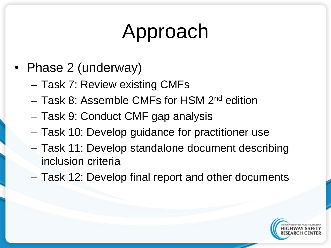# Approach

- Phase 2 (underway)
	- Task 7: Review existing CMFs
	- Task 8: Assemble CMFs for HSM 2nd edition
	- Task 9: Conduct CMF gap analysis
	- Task 10: Develop guidance for practitioner use
	- Task 11: Develop standalone document describing inclusion criteria
	- Task 12: Develop final report and other documents

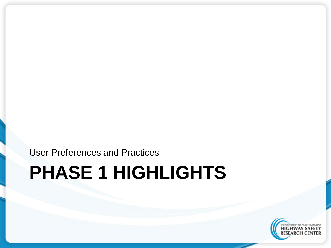User Preferences and Practices

#### **PHASE 1 HIGHLIGHTS**

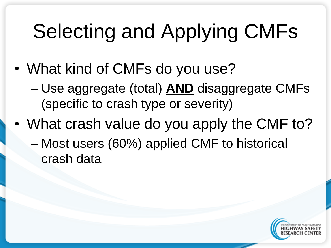# Selecting and Applying CMFs

- What kind of CMFs do you use?
	- Use aggregate (total) **AND** disaggregate CMFs (specific to crash type or severity)
- What crash value do you apply the CMF to? – Most users (60%) applied CMF to historical
	- crash data

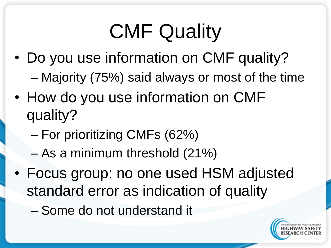# CMF Quality

- Do you use information on CMF quality? – Majority (75%) said always or most of the time
- How do you use information on CMF quality?
	- For prioritizing CMFs (62%)
	- As a minimum threshold (21%)
- Focus group: no one used HSM adjusted standard error as indication of quality
	- Some do not understand it

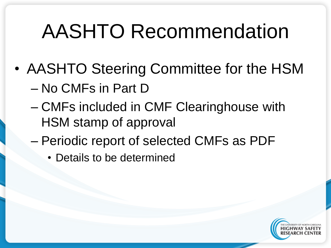## AASHTO Recommendation

- AASHTO Steering Committee for the HSM – No CMFs in Part D
	- CMFs included in CMF Clearinghouse with HSM stamp of approval
	- Periodic report of selected CMFs as PDF
		- Details to be determined

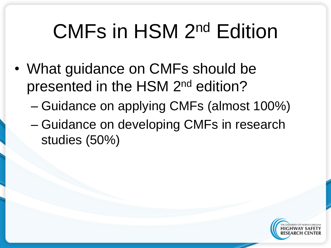# CMFs in HSM 2nd Edition

- What guidance on CMFs should be presented in the HSM 2nd edition?
	- Guidance on applying CMFs (almost 100%)
	- Guidance on developing CMFs in research studies (50%)

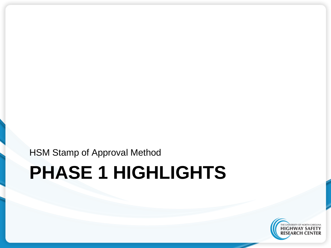HSM Stamp of Approval Method

#### **PHASE 1 HIGHLIGHTS**

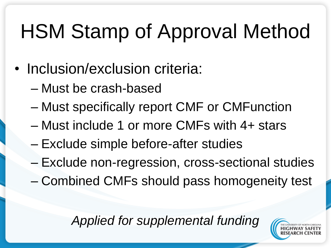# HSM Stamp of Approval Method

- Inclusion/exclusion criteria:
	- Must be crash-based
	- Must specifically report CMF or CMFunction
	- Must include 1 or more CMFs with 4+ stars
	- Exclude simple before-after studies
	- Exclude non-regression, cross-sectional studies
	- Combined CMFs should pass homogeneity test

*Applied for supplemental funding*

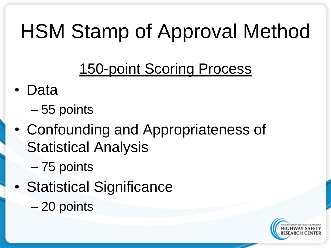# HSM Stamp of Approval Method

#### 150-point Scoring Process

- Data
	- 55 points
- Confounding and Appropriateness of Statistical Analysis
	- 75 points
- Statistical Significance
	- 20 points

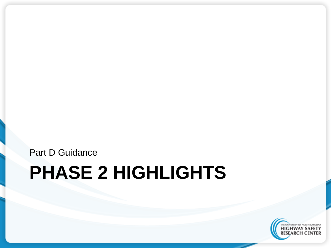Part D Guidance

#### **PHASE 2 HIGHLIGHTS**

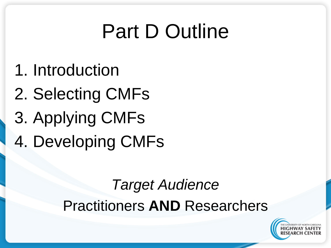# Part D Outline

- 1. Introduction
- 2. Selecting CMFs
- 3. Applying CMFs
- 4. Developing CMFs

#### *Target Audience* Practitioners **AND** Researchers

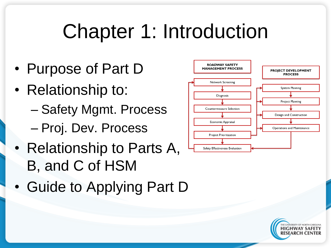## Chapter 1: Introduction

- Purpose of Part D
- Relationship to:
	- Safety Mgmt. Process
	- Proj. Dev. Process
- Relationship to Parts A, B, and C of HSM
- Guide to Applying Part D



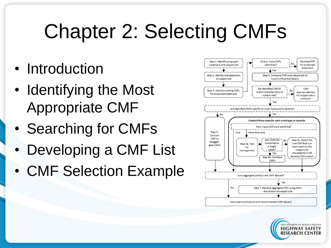### Chapter 2: Selecting CMFs

- Introduction
- Identifying the Most Appropriate CMF
- Searching for CMFs
- Developing a CMF List
- CMF Selection Example



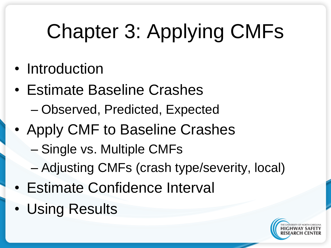# Chapter 3: Applying CMFs

- Introduction
- Estimate Baseline Crashes
	- Observed, Predicted, Expected
- Apply CMF to Baseline Crashes
	- Single vs. Multiple CMFs
	- Adjusting CMFs (crash type/severity, local)
- Estimate Confidence Interval
- Using Results

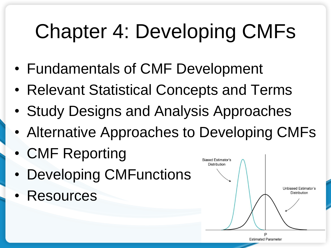# Chapter 4: Developing CMFs

- Fundamentals of CMF Development
- Relevant Statistical Concepts and Terms
- Study Designs and Analysis Approaches
- Alternative Approaches to Developing CMFs
- CMF Reporting
- **Developing CMFunctions**
- **Resources**

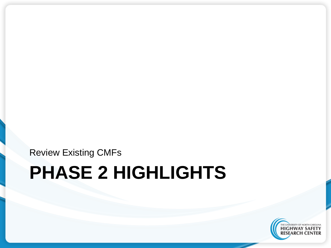Review Existing CMFs

### **PHASE 2 HIGHLIGHTS**

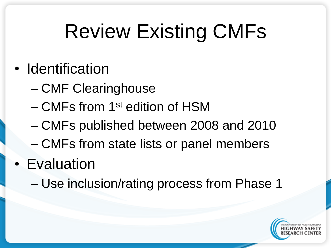# Review Existing CMFs

- Identification
	- CMF Clearinghouse
	- CMFs from 1st edition of HSM
	- CMFs published between 2008 and 2010
	- CMFs from state lists or panel members
- Evaluation
	- Use inclusion/rating process from Phase 1

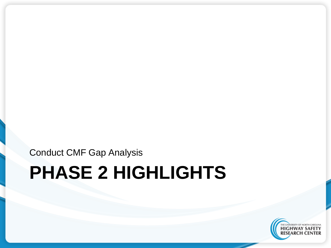Conduct CMF Gap Analysis

### **PHASE 2 HIGHLIGHTS**

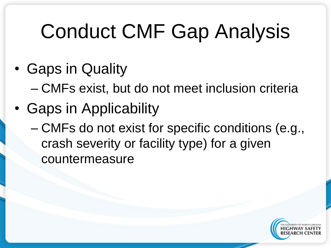# Conduct CMF Gap Analysis

- Gaps in Quality
	- CMFs exist, but do not meet inclusion criteria
- Gaps in Applicability
	- CMFs do not exist for specific conditions (e.g., crash severity or facility type) for a given countermeasure

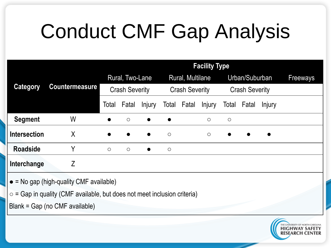# Conduct CMF Gap Analysis

|                     | <b>Countermeasure</b> | <b>Facility Type</b>  |            |               |                       |       |               |                       |           |           |                 |
|---------------------|-----------------------|-----------------------|------------|---------------|-----------------------|-------|---------------|-----------------------|-----------|-----------|-----------------|
| <b>Category</b>     |                       | Rural, Two-Lane       |            |               | Rural, Multilane      |       |               | Urban/Suburban        |           |           | <b>Freeways</b> |
|                     |                       | <b>Crash Severity</b> |            |               | <b>Crash Severity</b> |       |               | <b>Crash Severity</b> |           |           |                 |
|                     |                       | Total                 | Fatal      | <b>Injury</b> | Total                 | Fatal | <b>Injury</b> | Total                 | Fatal     | Injury    |                 |
| <b>Segment</b>      | W                     | $\bullet$             | $\bigcirc$ | $\bullet$     | $\bullet$             |       | $\circ$       | $\bigcirc$            |           |           |                 |
| <b>Intersection</b> | Χ                     | $\bullet$             | $\bullet$  | $\bullet$     | $\bigcirc$            |       | $\bigcirc$    | $\bullet$             | $\bullet$ | $\bullet$ |                 |
| <b>Roadside</b>     | Υ                     | $\circ$               | $\circ$    | $\bullet$     | $\bigcirc$            |       |               |                       |           |           |                 |
| Interchange         | Z                     |                       |            |               |                       |       |               |                       |           |           |                 |

- $\bullet$  = No gap (high-quality CMF available)
- $\circ$  = Gap in quality (CMF available, but does not meet inclusion criteria)

Blank = Gap (no CMF available)